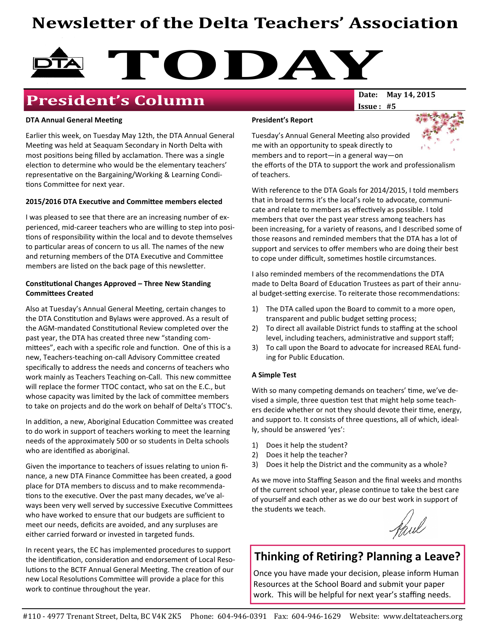# Newsletter of the Delta Teachers' Association



# **President's Column** Date: May 14, 2015

#### DTA Annual General Meeting

Earlier this week, on Tuesday May 12th, the DTA Annual General Meeting was held at Seaquam Secondary in North Delta with most positions being filled by acclamation. There was a single election to determine who would be the elementary teachers' representative on the Bargaining/Working & Learning Conditions Committee for next year.

#### 2015/2016 DTA Executive and Committee members elected

I was pleased to see that there are an increasing number of experienced, mid-career teachers who are willing to step into posi tions of responsibility within the local and to devote themselves to particular areas of concern to us all. The names of the new and returning members of the DTA Executive and Committee members are listed on the back page of this newsletter.

#### Constitutional Changes Approved - Three New Standing **Committees Created**

Also at Tuesday's Annual General Meeting, certain changes to the DTA Constitution and Bylaws were approved. As a result of the AGM-mandated Constitutional Review completed over the past year, the DTA has created three new "standing committees", each with a specific role and function. One of this is a new, Teachers-teaching on-call Advisory Committee created specifically to address the needs and concerns of teachers who work mainly as Teachers Teaching on-Call. This new committee will replace the former TTOC contact, who sat on the E.C., but whose capacity was limited by the lack of committee members to take on projects and do the work on behalf of Delta's TTOC's.

In addition, a new, Aboriginal Education Committee was created to do work in support of teachers working to meet the learning needs of the approximately 500 or so students in Delta schools who are identified as aboriginal.

Given the importance to teachers of issues relating to union finance, a new DTA Finance Committee has been created, a good place for DTA members to discuss and to make recommenda tions to the executive. Over the past many decades, we've always been very well served by successive Executive Committees who have worked to ensure that our budgets are sufficient to meet our needs, deficits are avoided, and any surpluses are either carried forward or invested in targeted funds.

In recent years, the EC has implemented procedures to support the identification, consideration and endorsement of Local Resolutions to the BCTF Annual General Meeting. The creation of our new Local Resolutions Committee will provide a place for this work to continue throughout the year.

#### President's Report



Tuesday's Annual General Meeting also provided me with an opportunity to speak directly to members and to report—in a general way—on

the efforts of the DTA to support the work and professionalism of teachers.

 $Issue: #5$ 

With reference to the DTA Goals for 2014/2015, I told members that in broad terms it's the local's role to advocate, communicate and relate to members as effectively as possible. I told members that over the past year stress among teachers has been increasing, for a variety of reasons, and I described some of those reasons and reminded members that the DTA has a lot of support and services to offer members who are doing their best to cope under difficult, sometimes hostile circumstances.

I also reminded members of the recommendations the DTA made to Delta Board of Education Trustees as part of their annual budget-setting exercise. To reiterate those recommendations:

- 1) The DTA called upon the Board to commit to a more open, transparent and public budget setting process;
- 2) To direct all available District funds to staffing at the school level, including teachers, administrative and support staff;
- 3) To call upon the Board to advocate for increased REAL funding for Public Education.

#### A Simple Test

With so many competing demands on teachers' time, we've devised a simple, three question test that might help some teachers decide whether or not they should devote their time, energy, and support to. It consists of three questions, all of which, ideally, should be answered 'yes':

- 1) Does it help the student?
- 2) Does it help the teacher?
- 3) Does it help the District and the community as a whole?

As we move into Staffing Season and the final weeks and months of the current school year, please continue to take the best care of yourself and each other as we do our best work in support of the students we teach.

Haul

## Thinking of Retiring? Planning a Leave?

Once you have made your decision, please inform Human Resources at the School Board and submit your paper work. This will be helpful for next year's staffing needs.